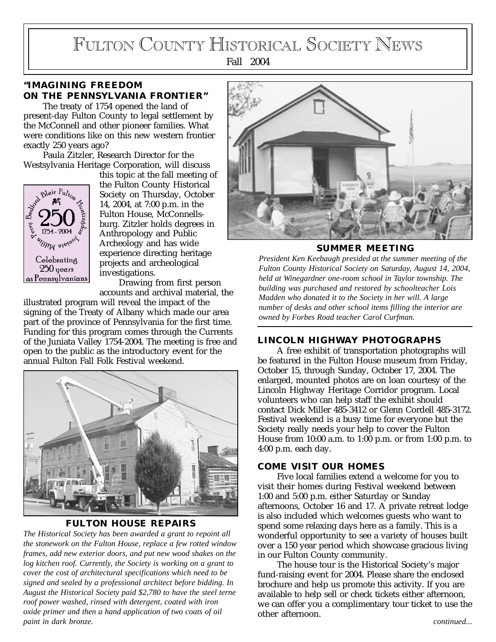# FULTON COUNTY HISTORICAL SOCIETY NEWS

Fall 2004

# **"IMAGINING FREEDOM ON THE PENNSYLVANIA FRONTIER"**

The treaty of 1754 opened the land of present-day Fulton County to legal settlement by the McConnell and other pioneer families. What were conditions like on this new western frontier exactly 250 years ago?

Paula Zitzler, Research Director for the Westsylvania Heritage Corporation, will discuss



this topic at the fall meeting of the Fulton County Historical Society on Thursday, October 14, 2004, at 7:00 p.m. in the Fulton House, McConnellsburg. Zitzler holds degrees in Anthropology and Public Archeology and has wide experience directing heritage projects and archeological investigations.

Drawing from first person accounts and archival material, the

illustrated program will reveal the impact of the signing of the Treaty of Albany which made our area part of the province of Pennsylvania for the first time. Funding for this program comes through the Currents of the Juniata Valley 1754-2004. The meeting is free and open to the public as the introductory event for the annual Fulton Fall Folk Festival weekend.



# **FULTON HOUSE REPAIRS**

*The Historical Society has been awarded a grant to repoint all the stonework on the Fulton House, replace a few rotted window frames, add new exterior doors, and put new wood shakes on the log kitchen roof. Currently, the Society is working on a grant to cover the cost of architectural specifications which need to be signed and sealed by a professional architect before bidding. In August the Historical Society paid \$2,780 to have the steel terne roof power washed, rinsed with detergent, coated with iron oxide primer and then a hand application of two coats of oil paint in dark bronze. continued...*



**SUMMER MEETING**

*President Ken Keebaugh presided at the summer meeting of the Fulton County Historical Society on Saturday, August 14, 2004, held at Winegardner one-room school in Taylor township. The building was purchased and restored by schoolteacher Lois Madden who donated it to the Society in her will. A large number of desks and other school items filling the interior are owned by Forbes Road teacher Carol Curfman.*

# **LINCOLN HIGHWAY PHOTOGRAPHS**

A free exhibit of transportation photographs will be featured in the Fulton House museum from Friday, October 15, through Sunday, October 17, 2004. The enlarged, mounted photos are on loan courtesy of the Lincoln Highway Heritage Corridor program. Local volunteers who can help staff the exhibit should contact Dick Miller 485-3412 or Glenn Cordell 485-3172. Festival weekend is a busy time for everyone but the Society really needs your help to cover the Fulton House from 10:00 a.m. to 1:00 p.m. or from 1:00 p.m. to 4:00 p.m. each day.

# **COME VISIT OUR HOMES**

Five local families extend a welcome for you to visit their homes during Festival weekend between 1:00 and 5:00 p.m. either Saturday or Sunday afternoons, October 16 and 17. A private retreat lodge is also included which welcomes guests who want to spend some relaxing days here as a family. This is a wonderful opportunity to see a variety of houses built over a 150 year period which showcase gracious living in our Fulton County community.

The house tour is the Historical Society's major fund-raising event for 2004. Please share the enclosed brochure and help us promote this activity. If you are available to help sell or check tickets either afternoon, we can offer you a complimentary tour ticket to use the other afternoon.